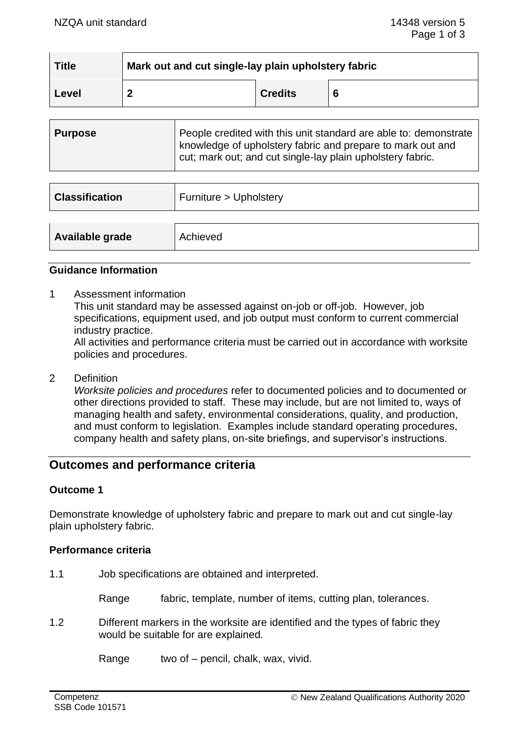| <b>Title</b> | Mark out and cut single-lay plain upholstery fabric |                |   |  |
|--------------|-----------------------------------------------------|----------------|---|--|
| Level        | ◠                                                   | <b>Credits</b> | 6 |  |

| ∣ Purpose | People credited with this unit standard are able to: demonstrate<br>knowledge of upholstery fabric and prepare to mark out and |
|-----------|--------------------------------------------------------------------------------------------------------------------------------|
|           | cut; mark out; and cut single-lay plain upholstery fabric.                                                                     |

| <b>Classification</b> | Furniture > Upholstery |
|-----------------------|------------------------|
|                       |                        |
| Available grade       | Achieved               |

#### **Guidance Information**

1 Assessment information This unit standard may be assessed against on-job or off-job. However, job specifications, equipment used, and job output must conform to current commercial industry practice. All activities and performance criteria must be carried out in accordance with worksite

policies and procedures.

2 Definition

*Worksite policies and procedures* refer to documented policies and to documented or other directions provided to staff. These may include, but are not limited to, ways of managing health and safety, environmental considerations, quality, and production, and must conform to legislation. Examples include standard operating procedures, company health and safety plans, on-site briefings, and supervisor's instructions.

# **Outcomes and performance criteria**

## **Outcome 1**

Demonstrate knowledge of upholstery fabric and prepare to mark out and cut single-lay plain upholstery fabric.

#### **Performance criteria**

1.1 Job specifications are obtained and interpreted.

Range fabric, template, number of items, cutting plan, tolerances.

1.2 Different markers in the worksite are identified and the types of fabric they would be suitable for are explained.

Range two of – pencil, chalk, wax, vivid.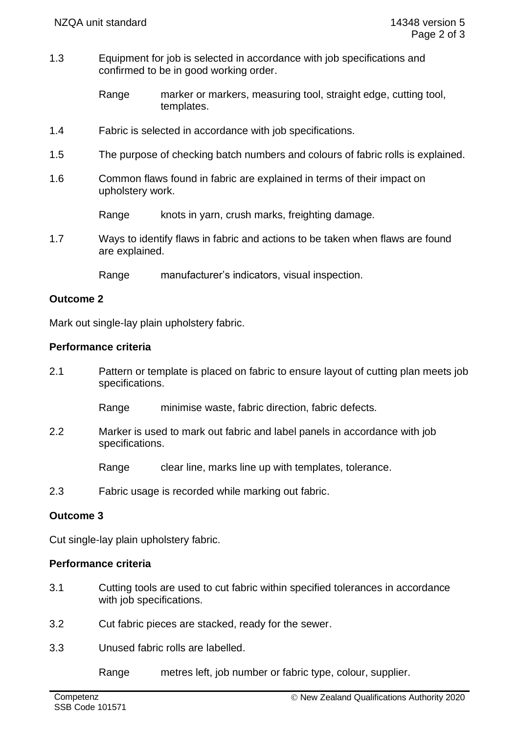1.3 Equipment for job is selected in accordance with job specifications and confirmed to be in good working order.

> Range marker or markers, measuring tool, straight edge, cutting tool, templates.

- 1.4 Fabric is selected in accordance with job specifications.
- 1.5 The purpose of checking batch numbers and colours of fabric rolls is explained.
- 1.6 Common flaws found in fabric are explained in terms of their impact on upholstery work.

Range knots in yarn, crush marks, freighting damage.

1.7 Ways to identify flaws in fabric and actions to be taken when flaws are found are explained.

Range manufacturer's indicators, visual inspection.

## **Outcome 2**

Mark out single-lay plain upholstery fabric.

#### **Performance criteria**

2.1 Pattern or template is placed on fabric to ensure layout of cutting plan meets job specifications.

Range minimise waste, fabric direction, fabric defects.

2.2 Marker is used to mark out fabric and label panels in accordance with job specifications.

Range clear line, marks line up with templates, tolerance.

2.3 Fabric usage is recorded while marking out fabric.

## **Outcome 3**

Cut single-lay plain upholstery fabric.

## **Performance criteria**

- 3.1 Cutting tools are used to cut fabric within specified tolerances in accordance with job specifications.
- 3.2 Cut fabric pieces are stacked, ready for the sewer.
- 3.3 Unused fabric rolls are labelled.

Range metres left, job number or fabric type, colour, supplier.